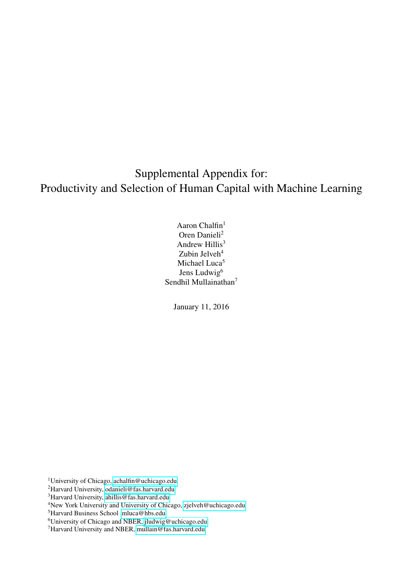# Supplemental Appendix for: Productivity and Selection of Human Capital with Machine Learning

Aaron Chalfin<sup>1</sup> Oren Danieli<sup>2</sup> Andrew Hillis<sup>3</sup> Zubin Jelveh $4$ Michael Luca<sup>5</sup> Jens Ludwig<sup>6</sup> Sendhil Mullainathan<sup>7</sup>

January 11, 2016

<sup>1</sup>University of Chicago, [achalfin@uchicago.edu](mailto:achalfin@uchicago.edu)

<sup>2</sup>Harvard University, [odanieli@fas.harvard.edu](mailto:odanieli@fas.harvard.edu)

<sup>3</sup>Harvard University, [ahillis@fas.harvard.edu](mailto:ahillis@fas.harvard.edu)

<sup>5</sup>Harvard Business School [,mluca@hbs.edu](mailto:mluca@hbs.edu)

<sup>6</sup>University of Chicago and NBER, [jludwig@uchicago.edu](mailto:jludwig@uchicago.edu)

<sup>7</sup>Harvard University and NBER, [mullain@fas.harvard.edu](mailto:mullain@fas.harvard.edu)

<sup>4</sup>New York University and University of Chicago, [zjelveh@uchicago.edu](mailto:zjelveh@uchicago.edu)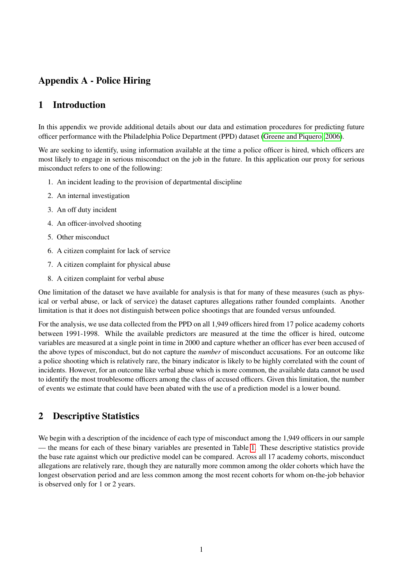# Appendix A - Police Hiring

### 1 Introduction

In this appendix we provide additional details about our data and estimation procedures for predicting future officer performance with the Philadelphia Police Department (PPD) dataset [\(Greene and Piquero, 2006\)](#page-11-0).

We are seeking to identify, using information available at the time a police officer is hired, which officers are most likely to engage in serious misconduct on the job in the future. In this application our proxy for serious misconduct refers to one of the following:

- 1. An incident leading to the provision of departmental discipline
- 2. An internal investigation
- 3. An off duty incident
- 4. An officer-involved shooting
- 5. Other misconduct
- 6. A citizen complaint for lack of service
- 7. A citizen complaint for physical abuse
- 8. A citizen complaint for verbal abuse

One limitation of the dataset we have available for analysis is that for many of these measures (such as physical or verbal abuse, or lack of service) the dataset captures allegations rather founded complaints. Another limitation is that it does not distinguish between police shootings that are founded versus unfounded.

For the analysis, we use data collected from the PPD on all 1,949 officers hired from 17 police academy cohorts between 1991-1998. While the available predictors are measured at the time the officer is hired, outcome variables are measured at a single point in time in 2000 and capture whether an officer has ever been accused of the above types of misconduct, but do not capture the *number* of misconduct accusations. For an outcome like a police shooting which is relatively rare, the binary indicator is likely to be highly correlated with the count of incidents. However, for an outcome like verbal abuse which is more common, the available data cannot be used to identify the most troublesome officers among the class of accused officers. Given this limitation, the number of events we estimate that could have been abated with the use of a prediction model is a lower bound.

## 2 Descriptive Statistics

We begin with a description of the incidence of each type of misconduct among the 1,949 officers in our sample — the means for each of these binary variables are presented in Table [1.](#page-12-0) These descriptive statistics provide the base rate against which our predictive model can be compared. Across all 17 academy cohorts, misconduct allegations are relatively rare, though they are naturally more common among the older cohorts which have the longest observation period and are less common among the most recent cohorts for whom on-the-job behavior is observed only for 1 or 2 years.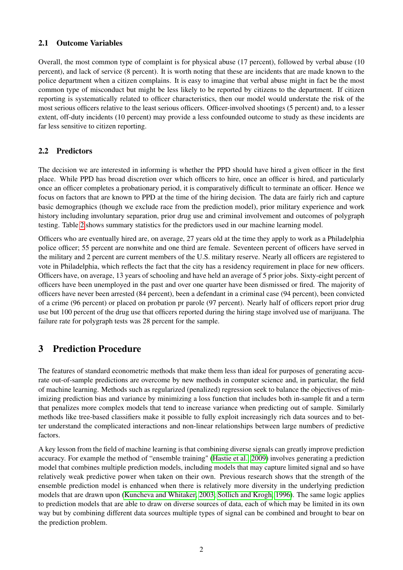### 2.1 Outcome Variables

Overall, the most common type of complaint is for physical abuse (17 percent), followed by verbal abuse (10 percent), and lack of service (8 percent). It is worth noting that these are incidents that are made known to the police department when a citizen complains. It is easy to imagine that verbal abuse might in fact be the most common type of misconduct but might be less likely to be reported by citizens to the department. If citizen reporting is systematically related to officer characteristics, then our model would understate the risk of the most serious officers relative to the least serious officers. Officer-involved shootings (5 percent) and, to a lesser extent, off-duty incidents (10 percent) may provide a less confounded outcome to study as these incidents are far less sensitive to citizen reporting.

### 2.2 Predictors

The decision we are interested in informing is whether the PPD should have hired a given officer in the first place. While PPD has broad discretion over which officers to hire, once an officer is hired, and particularly once an officer completes a probationary period, it is comparatively difficult to terminate an officer. Hence we focus on factors that are known to PPD at the time of the hiring decision. The data are fairly rich and capture basic demographics (though we exclude race from the prediction model), prior military experience and work history including involuntary separation, prior drug use and criminal involvement and outcomes of polygraph testing. Table [2](#page-13-0) shows summary statistics for the predictors used in our machine learning model.

Officers who are eventually hired are, on average, 27 years old at the time they apply to work as a Philadelphia police officer; 55 percent are nonwhite and one third are female. Seventeen percent of officers have served in the military and 2 percent are current members of the U.S. military reserve. Nearly all officers are registered to vote in Philadelphia, which reflects the fact that the city has a residency requirement in place for new officers. Officers have, on average, 13 years of schooling and have held an average of 5 prior jobs. Sixty-eight percent of officers have been unemployed in the past and over one quarter have been dismissed or fired. The majority of officers have never been arrested (84 percent), been a defendant in a criminal case (94 percent), been convicted of a crime (96 percent) or placed on probation pr parole (97 percent). Nearly half of officers report prior drug use but 100 percent of the drug use that officers reported during the hiring stage involved use of marijuana. The failure rate for polygraph tests was 28 percent for the sample.

# 3 Prediction Procedure

The features of standard econometric methods that make them less than ideal for purposes of generating accurate out-of-sample predictions are overcome by new methods in computer science and, in particular, the field of machine learning. Methods such as regularized (penalized) regression seek to balance the objectives of minimizing prediction bias and variance by minimizing a loss function that includes both in-sample fit and a term that penalizes more complex models that tend to increase variance when predicting out of sample. Similarly methods like tree-based classifiers make it possible to fully exploit increasingly rich data sources and to better understand the complicated interactions and non-linear relationships between large numbers of predictive factors.

A key lesson from the field of machine learning is that combining diverse signals can greatly improve prediction accuracy. For example the method of "ensemble training" [\(Hastie et al., 2009\)](#page-11-1) involves generating a prediction model that combines multiple prediction models, including models that may capture limited signal and so have relatively weak predictive power when taken on their own. Previous research shows that the strength of the ensemble prediction model is enhanced when there is relatively more diversity in the underlying prediction models that are drawn upon [\(Kuncheva and Whitaker, 2003;](#page-11-2) [Sollich and Krogh, 1996\)](#page-11-3). The same logic applies to prediction models that are able to draw on diverse sources of data, each of which may be limited in its own way but by combining different data sources multiple types of signal can be combined and brought to bear on the prediction problem.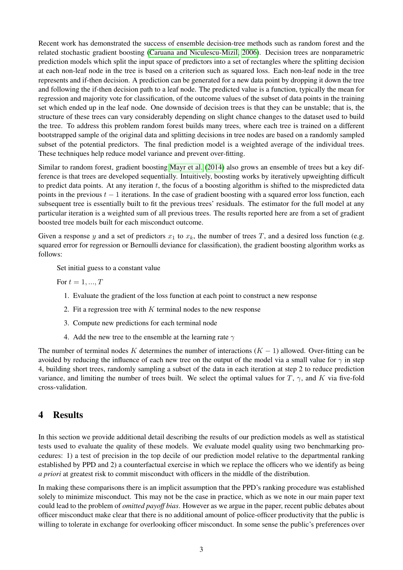Recent work has demonstrated the success of ensemble decision-tree methods such as random forest and the related stochastic gradient boosting [\(Caruana and Niculescu-Mizil, 2006\)](#page-11-4). Decision trees are nonparametric prediction models which split the input space of predictors into a set of rectangles where the splitting decision at each non-leaf node in the tree is based on a criterion such as squared loss. Each non-leaf node in the tree represents and if-then decision. A prediction can be generated for a new data point by dropping it down the tree and following the if-then decision path to a leaf node. The predicted value is a function, typically the mean for regression and majority vote for classification, of the outcome values of the subset of data points in the training set which ended up in the leaf node. One downside of decision trees is that they can be unstable; that is, the structure of these trees can vary considerably depending on slight chance changes to the dataset used to build the tree. To address this problem random forest builds many trees, where each tree is trained on a different bootstrapped sample of the original data and splitting decisions in tree nodes are based on a randomly sampled subset of the potential predictors. The final prediction model is a weighted average of the individual trees. These techniques help reduce model variance and prevent over-fitting.

Similar to random forest, gradient boosting [Mayr et al.](#page-11-5) [\(2014\)](#page-11-5) also grows an ensemble of trees but a key difference is that trees are developed sequentially. Intuitively, boosting works by iteratively upweighting difficult to predict data points. At any iteration  $t$ , the focus of a boosting algorithm is shifted to the mispredicted data points in the previous  $t - 1$  iterations. In the case of gradient boosting with a squared error loss function, each subsequent tree is essentially built to fit the previous trees' residuals. The estimator for the full model at any particular iteration is a weighted sum of all previous trees. The results reported here are from a set of gradient boosted tree models built for each misconduct outcome.

Given a response y and a set of predictors  $x_1$  to  $x_k$ , the number of trees T, and a desired loss function (e.g. squared error for regression or Bernoulli deviance for classification), the gradient boosting algorithm works as follows:

Set initial guess to a constant value

For  $t = 1, ..., T$ 

- 1. Evaluate the gradient of the loss function at each point to construct a new response
- 2. Fit a regression tree with  $K$  terminal nodes to the new response
- 3. Compute new predictions for each terminal node
- 4. Add the new tree to the ensemble at the learning rate  $\gamma$

The number of terminal nodes K determines the number of interactions  $(K - 1)$  allowed. Over-fitting can be avoided by reducing the influence of each new tree on the output of the model via a small value for  $\gamma$  in step 4, building short trees, randomly sampling a subset of the data in each iteration at step 2 to reduce prediction variance, and limiting the number of trees built. We select the optimal values for T,  $\gamma$ , and K via five-fold cross-validation.

## 4 Results

In this section we provide additional detail describing the results of our prediction models as well as statistical tests used to evaluate the quality of these models. We evaluate model quality using two benchmarking procedures: 1) a test of precision in the top decile of our prediction model relative to the departmental ranking established by PPD and 2) a counterfactual exercise in which we replace the officers who we identify as being *a priori* at greatest risk to commit misconduct with officers in the middle of the distribution.

In making these comparisons there is an implicit assumption that the PPD's ranking procedure was established solely to minimize misconduct. This may not be the case in practice, which as we note in our main paper text could lead to the problem of *omitted payoff bias*. However as we argue in the paper, recent public debates about officer misconduct make clear that there is no additional amount of police-officer productivity that the public is willing to tolerate in exchange for overlooking officer misconduct. In some sense the public's preferences over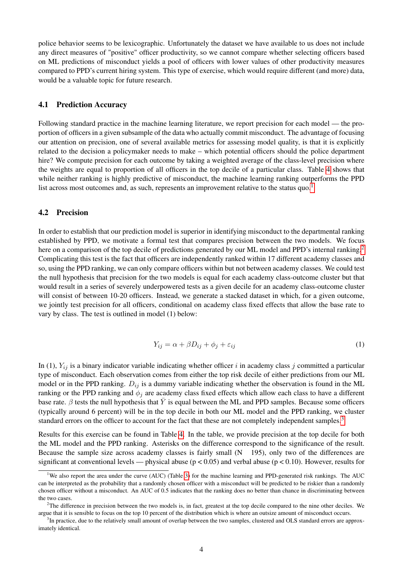police behavior seems to be lexicographic. Unfortunately the dataset we have available to us does not include any direct measures of "positive" officer productivity, so we cannot compare whether selecting officers based on ML predictions of misconduct yields a pool of officers with lower values of other productivity measures compared to PPD's current hiring system. This type of exercise, which would require different (and more) data, would be a valuable topic for future research.

#### 4.1 Prediction Accuracy

Following standard practice in the machine learning literature, we report precision for each model — the proportion of officers in a given subsample of the data who actually commit misconduct. The advantage of focusing our attention on precision, one of several available metrics for assessing model quality, is that it is explicitly related to the decision a policymaker needs to make – which potential officers should the police department hire? We compute precision for each outcome by taking a weighted average of the class-level precision where the weights are equal to proportion of all officers in the top decile of a particular class. Table [4](#page-15-0) shows that while neither ranking is highly predictive of misconduct, the machine learning ranking outperforms the PPD list across most outcomes and, as such, represents an improvement relative to the status  $\rm{quo.}^1$  $\rm{quo.}^1$ 

#### 4.2 Precision

In order to establish that our prediction model is superior in identifying misconduct to the departmental ranking established by PPD, we motivate a formal test that compares precision between the two models. We focus here on a comparison of the top decile of predictions generated by our ML model and PPD's internal ranking.<sup>[2](#page-4-1)</sup> Complicating this test is the fact that officers are independently ranked within 17 different academy classes and so, using the PPD ranking, we can only compare officers within but not between academy classes. We could test the null hypothesis that precision for the two models is equal for each academy class-outcome cluster but that would result in a series of severely underpowered tests as a given decile for an academy class-outcome cluster will consist of between 10-20 officers. Instead, we generate a stacked dataset in which, for a given outcome, we jointly test precision for all officers, conditional on academy class fixed effects that allow the base rate to vary by class. The test is outlined in model (1) below:

$$
Y_{ij} = \alpha + \beta D_{ij} + \phi_j + \varepsilon_{ij}
$$
 (1)

In (1),  $Y_{ij}$  is a binary indicator variable indicating whether officer i in academy class j committed a particular type of misconduct. Each observation comes from either the top risk decile of either predictions from our ML model or in the PPD ranking.  $D_{ij}$  is a dummy variable indicating whether the observation is found in the ML ranking or the PPD ranking and  $\phi_i$  are academy class fixed effects which allow each class to have a different base rate.  $\beta$  tests the null hypothesis that  $\overline{Y}$  is equal between the ML and PPD samples. Because some officers (typically around 6 percent) will be in the top decile in both our ML model and the PPD ranking, we cluster standard errors on the officer to account for the fact that these are not completely independent samples.<sup>[3](#page-4-2)</sup>

Results for this exercise can be found in Table [4.](#page-15-0) In the table, we provide precision at the top decile for both the ML model and the PPD ranking. Asterisks on the difference correspond to the significance of the result. Because the sample size across academy classes is fairly small (N 195), only two of the differences are significant at conventional levels — physical abuse ( $p < 0.05$ ) and verbal abuse ( $p < 0.10$ ). However, results for

<span id="page-4-0"></span><sup>&</sup>lt;sup>1</sup>We also report the area under the curve (AUC) (Table [3\)](#page-15-1) for the machine learning and PPD-generated risk rankings. The AUC can be interpreted as the probability that a randomly chosen officer with a misconduct will be predicted to be riskier than a randomly chosen officer without a misconduct. An AUC of 0.5 indicates that the ranking does no better than chance in discriminating between the two cases.

<span id="page-4-1"></span> $2$ The difference in precision between the two models is, in fact, greatest at the top decile compared to the nine other deciles. We argue that it is sensible to focus on the top 10 percent of the distribution which is where an outsize amount of misconduct occurs.

<span id="page-4-2"></span><sup>&</sup>lt;sup>3</sup>In practice, due to the relatively small amount of overlap between the two samples, clustered and OLS standard errors are approximately identical.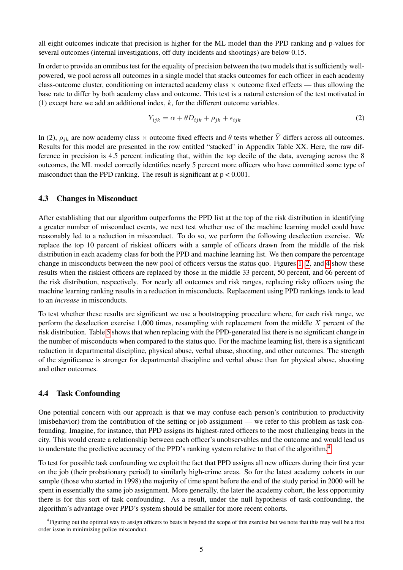all eight outcomes indicate that precision is higher for the ML model than the PPD ranking and p-values for several outcomes (internal investigations, off duty incidents and shootings) are below 0.15.

In order to provide an omnibus test for the equality of precision between the two models that is sufficiently wellpowered, we pool across all outcomes in a single model that stacks outcomes for each officer in each academy class-outcome cluster, conditioning on interacted academy class × outcome fixed effects — thus allowing the base rate to differ by both academy class and outcome. This test is a natural extension of the test motivated in (1) except here we add an additional index,  $k$ , for the different outcome variables.

$$
Y_{ijk} = \alpha + \theta D_{ijk} + \rho_{jk} + \epsilon_{ijk} \tag{2}
$$

In (2),  $\rho_{jk}$  are now academy class  $\times$  outcome fixed effects and  $\theta$  tests whether  $\bar{Y}$  differs across all outcomes. Results for this model are presented in the row entitled "stacked" in Appendix Table XX. Here, the raw difference in precision is 4.5 percent indicating that, within the top decile of the data, averaging across the 8 outcomes, the ML model correctly identifies nearly 5 percent more officers who have committed some type of misconduct than the PPD ranking. The result is significant at  $p < 0.001$ .

#### 4.3 Changes in Misconduct

After establishing that our algorithm outperforms the PPD list at the top of the risk distribution in identifying a greater number of misconduct events, we next test whether use of the machine learning model could have reasonably led to a reduction in misconduct. To do so, we perform the following deselection exercise. We replace the top 10 percent of riskiest officers with a sample of officers drawn from the middle of the risk distribution in each academy class for both the PPD and machine learning list. We then compare the percentage change in misconducts between the new pool of officers versus the status quo. Figures [1,](#page-16-0) [2,](#page-16-1) and [4](#page-17-0) show these results when the riskiest officers are replaced by those in the middle 33 percent, 50 percent, and 66 percent of the risk distribution, respectively. For nearly all outcomes and risk ranges, replacing risky officers using the machine learning ranking results in a reduction in misconducts. Replacement using PPD rankings tends to lead to an *increase* in misconducts.

To test whether these results are significant we use a bootstrapping procedure where, for each risk range, we perform the deselection exercise 1,000 times, resampling with replacement from the middle  $X$  percent of the risk distribution. Table [5](#page-18-0) shows that when replacing with the PPD-generated list there is no significant change in the number of misconducts when compared to the status quo. For the machine learning list, there is a significant reduction in departmental discipline, physical abuse, verbal abuse, shooting, and other outcomes. The strength of the significance is stronger for departmental discipline and verbal abuse than for physical abuse, shooting and other outcomes.

#### 4.4 Task Confounding

One potential concern with our approach is that we may confuse each person's contribution to productivity (misbehavior) from the contribution of the setting or job assignment — we refer to this problem as task confounding. Imagine, for instance, that PPD assigns its highest-rated officers to the most challenging beats in the city. This would create a relationship between each officer's unobservables and the outcome and would lead us to understate the predictive accuracy of the PPD's ranking system relative to that of the algorithm.[4](#page-5-0)

To test for possible task confounding we exploit the fact that PPD assigns all new officers during their first year on the job (their probationary period) to similarly high-crime areas. So for the latest academy cohorts in our sample (those who started in 1998) the majority of time spent before the end of the study period in 2000 will be spent in essentially the same job assignment. More generally, the later the academy cohort, the less opportunity there is for this sort of task confounding. As a result, under the null hypothesis of task-confounding, the algorithm's advantage over PPD's system should be smaller for more recent cohorts.

<span id="page-5-0"></span><sup>&</sup>lt;sup>4</sup> Figuring out the optimal way to assign officers to beats is beyond the scope of this exercise but we note that this may well be a first order issue in minimizing police misconduct.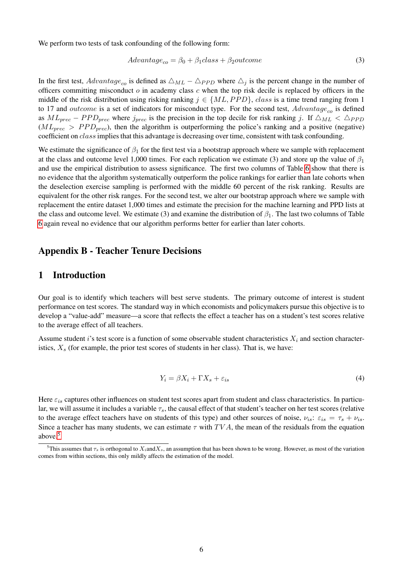We perform two tests of task confounding of the following form:

$$
Advantage_{co} = \beta_0 + \beta_1 class + \beta_2 outcome \tag{3}
$$

In the first test,  $Advantage_{co}$  is defined as  $\triangle_{ML} - \triangle_{PPD}$  where  $\triangle_j$  is the percent change in the number of officers committing misconduct  $o$  in academy class c when the top risk decile is replaced by officers in the middle of the risk distribution using risking ranking  $j \in \{ML, PPD\}$ , class is a time trend ranging from 1 to 17 and *outcome* is a set of indicators for misconduct type. For the second test,  $Advantage_{co}$  is defined as  $ML_{prec} - PPD_{prec}$  where  $j_{prec}$  is the precision in the top decile for risk ranking j. If  $\triangle_{ML} < \triangle_{PPD}$  $(ML_{prec} > PPD_{prec})$ , then the algorithm is outperforming the police's ranking and a positive (negative) coefficient on class implies that this advantage is decreasing over time, consistent with task confounding.

We estimate the significance of  $\beta_1$  for the first test via a bootstrap approach where we sample with replacement at the class and outcome level 1,000 times. For each replication we estimate (3) and store up the value of  $\beta_1$ and use the empirical distribution to assess significance. The first two columns of Table [6](#page-18-1) show that there is no evidence that the algorithm systematically outperform the police rankings for earlier than late cohorts when the deselection exercise sampling is performed with the middle 60 percent of the risk ranking. Results are equivalent for the other risk ranges. For the second test, we alter our bootstrap approach where we sample with replacement the entire dataset 1,000 times and estimate the precision for the machine learning and PPD lists at the class and outcome level. We estimate (3) and examine the distribution of  $\beta_1$ . The last two columns of Table [6](#page-18-1) again reveal no evidence that our algorithm performs better for earlier than later cohorts.

#### Appendix B - Teacher Tenure Decisions

#### 1 Introduction

Our goal is to identify which teachers will best serve students. The primary outcome of interest is student performance on test scores. The standard way in which economists and policymakers pursue this objective is to develop a "value-add" measure—a score that reflects the effect a teacher has on a student's test scores relative to the average effect of all teachers.

Assume student i's test score is a function of some observable student characteristics  $X_i$  and section characteristics,  $X_s$  (for example, the prior test scores of students in her class). That is, we have:

$$
Y_i = \beta X_i + \Gamma X_s + \varepsilon_{is} \tag{4}
$$

Here  $\varepsilon_{is}$  captures other influences on student test scores apart from student and class characteristics. In particular, we will assume it includes a variable  $\tau_s$ , the causal effect of that student's teacher on her test scores (relative to the average effect teachers have on students of this type) and other sources of noise,  $\nu_{is}$ :  $\varepsilon_{is} = \tau_s + \nu_{is}$ . Since a teacher has many students, we can estimate  $\tau$  with  $TVA$ , the mean of the residuals from the equation above.[5](#page-6-0)

<span id="page-6-0"></span><sup>&</sup>lt;sup>5</sup>This assumes that  $\tau_s$  is orthogonal to  $X_s$  and  $X_s$ , an assumption that has been shown to be wrong. However, as most of the variation comes from within sections, this only mildly affects the estimation of the model.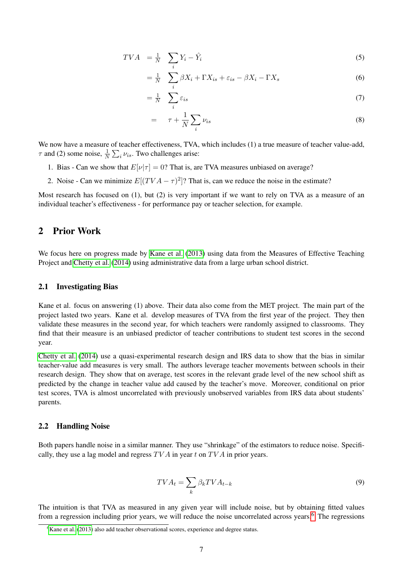$$
TVA = \frac{1}{N} \sum_{i} Y_i - \hat{Y}_i
$$
\n<sup>(5)</sup>

$$
= \frac{1}{N} \sum_{i} \beta X_{i} + \Gamma X_{is} + \varepsilon_{is} - \beta X_{i} - \Gamma X_{s}
$$
\n
$$
\tag{6}
$$

$$
=\frac{1}{N}\sum_{i}\varepsilon_{is} \tag{7}
$$

$$
= \tau + \frac{1}{N} \sum_{i} \nu_{is} \tag{8}
$$

We now have a measure of teacher effectiveness, TVA, which includes (1) a true measure of teacher value-add,  $\tau$  and (2) some noise,  $\frac{1}{N} \sum_{i} \nu_{is}$ . Two challenges arise:

- 1. Bias Can we show that  $E[\nu|\tau] = 0$ ? That is, are TVA measures unbiased on average?
- 2. Noise Can we minimize  $E[(TVA \tau)^2]$ ? That is, can we reduce the noise in the estimate?

Most research has focused on (1), but (2) is very important if we want to rely on TVA as a measure of an individual teacher's effectiveness - for performance pay or teacher selection, for example.

### 2 Prior Work

We focus here on progress made by [Kane et al.](#page-11-6) [\(2013\)](#page-11-6) using data from the Measures of Effective Teaching Project and [Chetty et al.](#page-11-7) [\(2014\)](#page-11-7) using administrative data from a large urban school district.

#### 2.1 Investigating Bias

Kane et al. focus on answering (1) above. Their data also come from the MET project. The main part of the project lasted two years. Kane et al. develop measures of TVA from the first year of the project. They then validate these measures in the second year, for which teachers were randomly assigned to classrooms. They find that their measure is an unbiased predictor of teacher contributions to student test scores in the second year.

[Chetty et al.](#page-11-7) [\(2014\)](#page-11-7) use a quasi-experimental research design and IRS data to show that the bias in similar teacher-value add measures is very small. The authors leverage teacher movements between schools in their research design. They show that on average, test scores in the relevant grade level of the new school shift as predicted by the change in teacher value add caused by the teacher's move. Moreover, conditional on prior test scores, TVA is almost uncorrelated with previously unobserved variables from IRS data about students' parents.

#### 2.2 Handling Noise

Both papers handle noise in a similar manner. They use "shrinkage" of the estimators to reduce noise. Specifically, they use a lag model and regress  $TVA$  in year t on  $TVA$  in prior years.

$$
TVA_t = \sum_k \beta_k TVA_{t-k} \tag{9}
$$

The intuition is that TVA as measured in any given year will include noise, but by obtaining fitted values from a regression including prior years, we will reduce the noise uncorrelated across years.<sup>[6](#page-7-0)</sup> The regressions

<span id="page-7-0"></span> ${}^{6}$ [Kane et al.](#page-11-6) [\(2013\)](#page-11-6) also add teacher observational scores, experience and degree status.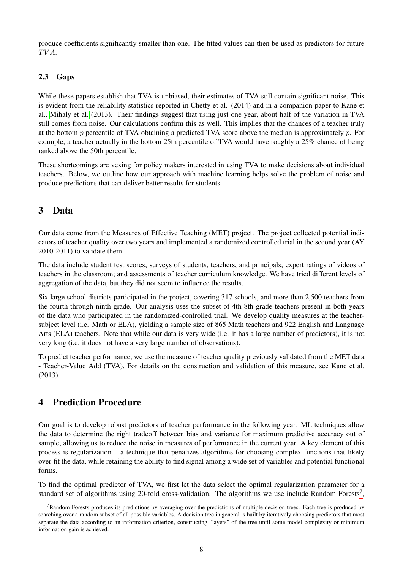produce coefficients significantly smaller than one. The fitted values can then be used as predictors for future TVA.

### 2.3 Gaps

While these papers establish that TVA is unbiased, their estimates of TVA still contain significant noise. This is evident from the reliability statistics reported in Chetty et al. (2014) and in a companion paper to Kane et al., [Mihaly et al.](#page-11-8) [\(2013\)](#page-11-8). Their findings suggest that using just one year, about half of the variation in TVA still comes from noise. Our calculations confirm this as well. This implies that the chances of a teacher truly at the bottom p percentile of TVA obtaining a predicted TVA score above the median is approximately  $p$ . For example, a teacher actually in the bottom 25th percentile of TVA would have roughly a 25% chance of being ranked above the 50th percentile.

These shortcomings are vexing for policy makers interested in using TVA to make decisions about individual teachers. Below, we outline how our approach with machine learning helps solve the problem of noise and produce predictions that can deliver better results for students.

# 3 Data

Our data come from the Measures of Effective Teaching (MET) project. The project collected potential indicators of teacher quality over two years and implemented a randomized controlled trial in the second year (AY 2010-2011) to validate them.

The data include student test scores; surveys of students, teachers, and principals; expert ratings of videos of teachers in the classroom; and assessments of teacher curriculum knowledge. We have tried different levels of aggregation of the data, but they did not seem to influence the results.

Six large school districts participated in the project, covering 317 schools, and more than 2,500 teachers from the fourth through ninth grade. Our analysis uses the subset of 4th-8th grade teachers present in both years of the data who participated in the randomized-controlled trial. We develop quality measures at the teachersubject level (i.e. Math or ELA), yielding a sample size of 865 Math teachers and 922 English and Language Arts (ELA) teachers. Note that while our data is very wide (i.e. it has a large number of predictors), it is not very long (i.e. it does not have a very large number of observations).

To predict teacher performance, we use the measure of teacher quality previously validated from the MET data - Teacher-Value Add (TVA). For details on the construction and validation of this measure, see Kane et al. (2013).

# 4 Prediction Procedure

Our goal is to develop robust predictors of teacher performance in the following year. ML techniques allow the data to determine the right tradeoff between bias and variance for maximum predictive accuracy out of sample, allowing us to reduce the noise in measures of performance in the current year. A key element of this process is regularization – a technique that penalizes algorithms for choosing complex functions that likely over-fit the data, while retaining the ability to find signal among a wide set of variables and potential functional forms.

To find the optimal predictor of TVA, we first let the data select the optimal regularization parameter for a standard set of algorithms using 20-fold cross-validation. The algorithms we use include Random Forests<sup>[7](#page-8-0)</sup>,

<span id="page-8-0"></span><sup>7</sup>Random Forests produces its predictions by averaging over the predictions of multiple decision trees. Each tree is produced by searching over a random subset of all possible variables. A decision tree in general is built by iteratively choosing predictors that most separate the data according to an information criterion, constructing "layers" of the tree until some model complexity or minimum information gain is achieved.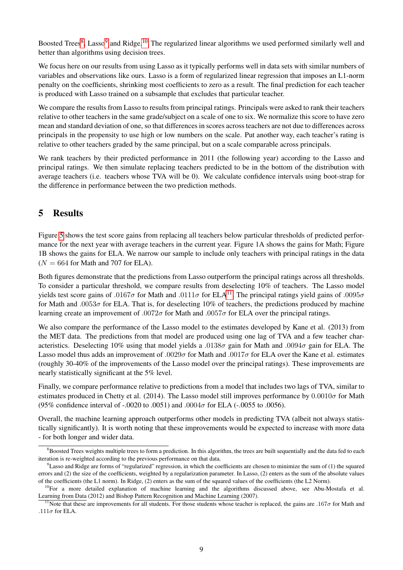Boosted Trees<sup>[8](#page-9-0)</sup>, Lasso<sup>[9](#page-9-1)</sup> and Ridge.<sup>[10](#page-9-2)</sup> The regularized linear algorithms we used performed similarly well and better than algorithms using decision trees.

We focus here on our results from using Lasso as it typically performs well in data sets with similar numbers of variables and observations like ours. Lasso is a form of regularized linear regression that imposes an L1-norm penalty on the coefficients, shrinking most coefficients to zero as a result. The final prediction for each teacher is produced with Lasso trained on a subsample that excludes that particular teacher.

We compare the results from Lasso to results from principal ratings. Principals were asked to rank their teachers relative to other teachers in the same grade/subject on a scale of one to six. We normalize this score to have zero mean and standard deviation of one, so that differences in scores across teachers are not due to differences across principals in the propensity to use high or low numbers on the scale. Put another way, each teacher's rating is relative to other teachers graded by the same principal, but on a scale comparable across principals.

We rank teachers by their predicted performance in 2011 (the following year) according to the Lasso and principal ratings. We then simulate replacing teachers predicted to be in the bottom of the distribution with average teachers (i.e. teachers whose TVA will be 0). We calculate confidence intervals using boot-strap for the difference in performance between the two prediction methods.

# 5 Results

Figure [5](#page-19-0) shows the test score gains from replacing all teachers below particular thresholds of predicted performance for the next year with average teachers in the current year. Figure 1A shows the gains for Math; Figure 1B shows the gains for ELA. We narrow our sample to include only teachers with principal ratings in the data  $(N = 664$  for Math and 707 for ELA).

Both figures demonstrate that the predictions from Lasso outperform the principal ratings across all thresholds. To consider a particular threshold, we compare results from deselecting 10% of teachers. The Lasso model yields test score gains of .0167 $\sigma$  for Math and .0[11](#page-9-3)1 $\sigma$  for ELA<sup>11</sup>. The principal ratings yield gains of .0095 $\sigma$ for Math and .0053 $\sigma$  for ELA. That is, for deselecting 10% of teachers, the predictions produced by machine learning create an improvement of .0072 $\sigma$  for Math and .0057 $\sigma$  for ELA over the principal ratings.

We also compare the performance of the Lasso model to the estimates developed by Kane et al. (2013) from the MET data. The predictions from that model are produced using one lag of TVA and a few teacher characteristics. Deselecting 10% using that model yields a .0138 $\sigma$  gain for Math and .0094 $\sigma$  gain for ELA. The Lasso model thus adds an improvement of .0029 $\sigma$  for Math and .0017 $\sigma$  for ELA over the Kane et al. estimates (roughly 30-40% of the improvements of the Lasso model over the principal ratings). These improvements are nearly statistically significant at the 5% level.

Finally, we compare performance relative to predictions from a model that includes two lags of TVA, similar to estimates produced in Chetty et al. (2014). The Lasso model still improves performance by  $0.0010\sigma$  for Math (95% confidence interval of -.0020 to .0051) and .0004 $\sigma$  for ELA (-.0055 to .0056).

Overall, the machine learning approach outperforms other models in predicting TVA (albeit not always statistically significantly). It is worth noting that these improvements would be expected to increase with more data - for both longer and wider data.

<span id="page-9-0"></span><sup>&</sup>lt;sup>8</sup>Boosted Trees weights multiple trees to form a prediction. In this algorithm, the trees are built sequentially and the data fed to each iteration is re-weighted according to the previous performance on that data.

<span id="page-9-1"></span> $9$ Lasso and Ridge are forms of "regularized" regression, in which the coefficients are chosen to minimize the sum of (1) the squared errors and (2) the size of the coefficients, weighted by a regularization parameter. In Lasso, (2) enters as the sum of the absolute values of the coefficients (the L1 norm). In Ridge, (2) enters as the sum of the squared values of the coefficients (the L2 Norm).

<span id="page-9-2"></span><sup>&</sup>lt;sup>10</sup>For a more detailed explanation of machine learning and the algorithms discussed above, see Abu-Mostafa et al. Learning from Data (2012) and Bishop Pattern Recognition and Machine Learning (2007).

<span id="page-9-3"></span><sup>&</sup>lt;sup>11</sup>Note that these are improvements for all students. For those students whose teacher is replaced, the gains are .167 $\sigma$  for Math and .111 $\sigma$  for ELA.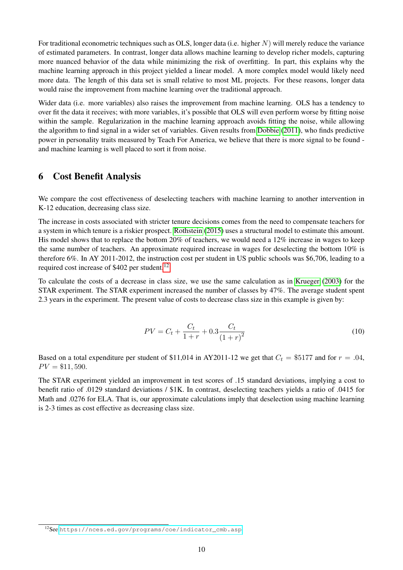For traditional econometric techniques such as OLS, longer data (i.e. higher  $N$ ) will merely reduce the variance of estimated parameters. In contrast, longer data allows machine learning to develop richer models, capturing more nuanced behavior of the data while minimizing the risk of overfitting. In part, this explains why the machine learning approach in this project yielded a linear model. A more complex model would likely need more data. The length of this data set is small relative to most ML projects. For these reasons, longer data would raise the improvement from machine learning over the traditional approach.

Wider data (i.e. more variables) also raises the improvement from machine learning. OLS has a tendency to over fit the data it receives; with more variables, it's possible that OLS will even perform worse by fitting noise within the sample. Regularization in the machine learning approach avoids fitting the noise, while allowing the algorithm to find signal in a wider set of variables. Given results from [Dobbie](#page-11-9) [\(2011\)](#page-11-9), who finds predictive power in personality traits measured by Teach For America, we believe that there is more signal to be found and machine learning is well placed to sort it from noise.

### 6 Cost Benefit Analysis

We compare the cost effectiveness of deselecting teachers with machine learning to another intervention in K-12 education, decreasing class size.

The increase in costs associated with stricter tenure decisions comes from the need to compensate teachers for a system in which tenure is a riskier prospect. [Rothstein](#page-11-10) [\(2015\)](#page-11-10) uses a structural model to estimate this amount. His model shows that to replace the bottom 20% of teachers, we would need a 12% increase in wages to keep the same number of teachers. An approximate required increase in wages for deselecting the bottom 10% is therefore 6%. In AY 2011-2012, the instruction cost per student in US public schools was \$6,706, leading to a required cost increase of \$402 per student.<sup>[12](#page-10-0)</sup>

To calculate the costs of a decrease in class size, we use the same calculation as in [Krueger](#page-11-11) [\(2003\)](#page-11-11) for the STAR experiment. The STAR experiment increased the number of classes by 47%. The average student spent 2.3 years in the experiment. The present value of costs to decrease class size in this example is given by:

$$
PV = C_t + \frac{C_t}{1+r} + 0.3 \frac{C_t}{(1+r)^2}
$$
\n(10)

Based on a total expenditure per student of \$11,014 in AY2011-12 we get that  $C_t = $5177$  and for  $r = .04$ ,  $PV = $11,590.$ 

The STAR experiment yielded an improvement in test scores of .15 standard deviations, implying a cost to benefit ratio of .0129 standard deviations / \$1K. In contrast, deselecting teachers yields a ratio of .0415 for Math and .0276 for ELA. That is, our approximate calculations imply that deselection using machine learning is 2-3 times as cost effective as decreasing class size.

<span id="page-10-0"></span><sup>12</sup>See [https://nces.ed.gov/programs/coe/indicator\\_cmb.asp](https://nces.ed.gov/programs/coe/indicator_cmb.asp)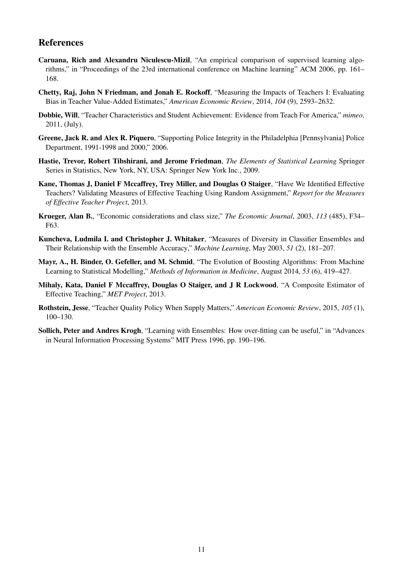### References

- <span id="page-11-4"></span>Caruana, Rich and Alexandru Niculescu-Mizil, "An empirical comparison of supervised learning algorithms," in "Proceedings of the 23rd international conference on Machine learning" ACM 2006, pp. 161– 168.
- <span id="page-11-7"></span>Chetty, Raj, John N Friedman, and Jonah E. Rockoff, "Measuring the Impacts of Teachers I: Evaluating Bias in Teacher Value-Added Estimates," *American Economic Review*, 2014, *104* (9), 2593–2632.
- <span id="page-11-9"></span>Dobbie, Will, "Teacher Characteristics and Student Achievement: Evidence from Teach For America," *mimeo*, 2011, (July).
- <span id="page-11-0"></span>Greene, Jack R. and Alex R. Piquero, "Supporting Police Integrity in the Philadelphia [Pennsylvania] Police Department, 1991-1998 and 2000," 2006.
- <span id="page-11-1"></span>Hastie, Trevor, Robert Tibshirani, and Jerome Friedman, *The Elements of Statistical Learning* Springer Series in Statistics, New York, NY, USA: Springer New York Inc., 2009.
- <span id="page-11-6"></span>Kane, Thomas J, Daniel F Mccaffrey, Trey Miller, and Douglas O Staiger, "Have We Identified Effective Teachers? Validating Measures of Effective Teaching Using Random Assignment," *Report for the Measures of Effective Teacher Project*, 2013.
- <span id="page-11-11"></span>Krueger, Alan B., "Economic considerations and class size," *The Economic Journal*, 2003, *113* (485), F34– F63.
- <span id="page-11-2"></span>Kuncheva, Ludmila I. and Christopher J. Whitaker, "Measures of Diversity in Classifier Ensembles and Their Relationship with the Ensemble Accuracy," *Machine Learning*, May 2003, *51* (2), 181–207.
- <span id="page-11-5"></span>Mayr, A., H. Binder, O. Gefeller, and M. Schmid, "The Evolution of Boosting Algorithms: From Machine Learning to Statistical Modelling," *Methods of Information in Medicine*, August 2014, *53* (6), 419–427.
- <span id="page-11-8"></span>Mihaly, Kata, Daniel F Mccaffrey, Douglas O Staiger, and J R Lockwood, "A Composite Estimator of Effective Teaching," *MET Project*, 2013.
- <span id="page-11-10"></span>Rothstein, Jesse, "Teacher Quality Policy When Supply Matters," *American Economic Review*, 2015, *105* (1), 100–130.
- <span id="page-11-3"></span>Sollich, Peter and Andres Krogh, "Learning with Ensembles: How over-fitting can be useful," in "Advances in Neural Information Processing Systems" MIT Press 1996, pp. 190–196.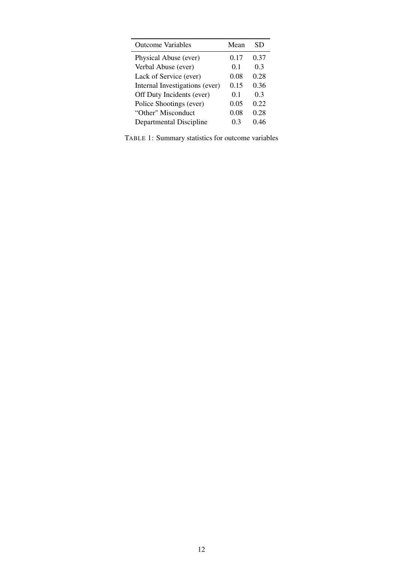<span id="page-12-0"></span>

| <b>Outcome Variables</b>       | Mean | SD   |
|--------------------------------|------|------|
| Physical Abuse (ever)          | 0.17 | 0.37 |
| Verbal Abuse (ever)            | 0.1  | 0.3  |
| Lack of Service (ever)         | 0.08 | 0.28 |
| Internal Investigations (ever) | 0.15 | 0.36 |
| Off Duty Incidents (ever)      | 0.1  | 0.3  |
| Police Shootings (ever)        | 0.05 | 0.22 |
| "Other" Misconduct             | 0.08 | 0.28 |
| Departmental Discipline        | 03   | በ 46 |

TABLE 1: Summary statistics for outcome variables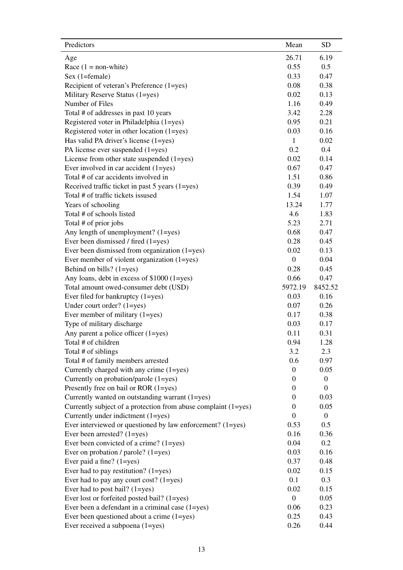<span id="page-13-0"></span>

| Predictors                                                     | Mean             | <b>SD</b>        |
|----------------------------------------------------------------|------------------|------------------|
| Age                                                            | 26.71            | 6.19             |
| Race $(1 = non-white)$                                         | 0.55             | 0.5              |
| Sex (1=female)                                                 | 0.33             | 0.47             |
| Recipient of veteran's Preference (1=yes)                      | 0.08             | 0.38             |
| Military Reserve Status (1=yes)                                | 0.02             | 0.13             |
| Number of Files                                                | 1.16             | 0.49             |
| Total # of addresses in past 10 years                          | 3.42             | 2.28             |
| Registered voter in Philadelphia (1=yes)                       | 0.95             | 0.21             |
| Registered voter in other location (1=yes)                     | 0.03             | 0.16             |
| Has valid PA driver's license (1=yes)                          | $\mathbf{1}$     | 0.02             |
| PA license ever suspended (1=yes)                              | 0.2              | 0.4              |
| License from other state suspended $(1 = yes)$                 | 0.02             | 0.14             |
| Ever involved in car accident (1=yes)                          | 0.67             | 0.47             |
| Total # of car accidents involved in                           | 1.51             | 0.86             |
| Received traffic ticket in past 5 years (1=yes)                | 0.39             | 0.49             |
| Total # of traffic tickets issused                             | 1.54             | 1.07             |
| Years of schooling                                             | 13.24            | 1.77             |
| Total # of schools listed                                      | 4.6              | 1.83             |
| Total # of prior jobs                                          | 5.23             | 2.71             |
| Any length of unemployment? (1=yes)                            | 0.68             | 0.47             |
| Ever been dismissed / fired (1=yes)                            | 0.28             | 0.45             |
| Ever been dismissed from organization (1=yes)                  | 0.02             | 0.13             |
| Ever member of violent organization (1=yes)                    | $\boldsymbol{0}$ | 0.04             |
| Behind on bills? (1=yes)                                       | 0.28             | 0.45             |
| Any loans, debt in excess of \$1000 (1=yes)                    | 0.66             | 0.47             |
| Total amount owed-consumer debt (USD)                          | 5972.19          | 8452.52          |
| Ever filed for bankruptcy (1=yes)                              | 0.03             | 0.16             |
| Under court order? $(1 = yes)$                                 | 0.07             | 0.26             |
| Ever member of military $(1 = yes)$                            | 0.17             | 0.38             |
| Type of military discharge                                     | 0.03             | 0.17             |
| Any parent a police officer $(1 = yes)$                        | 0.11             | 0.31             |
| Total # of children                                            | 0.94             | 1.28             |
| Total # of siblings                                            | 3.2              | 2.3              |
| Total # of family members arrested                             | 0.6              | 0.97             |
| Currently charged with any crime (1=yes)                       | $\boldsymbol{0}$ | 0.05             |
| Currently on probation/parole (1=yes)                          | $\mathbf{0}$     | $\boldsymbol{0}$ |
| Presently free on bail or ROR (1=yes)                          | $\mathbf{0}$     | $\overline{0}$   |
| Currently wanted on outstanding warrant (1=yes)                | $\overline{0}$   | 0.03             |
| Currently subject of a protection from abuse complaint (1=yes) | $\overline{0}$   | 0.05             |
| Currently under indictment (1=yes)                             | $\overline{0}$   | $\boldsymbol{0}$ |
| Ever interviewed or questioned by law enforcement? (1=yes)     | 0.53             | 0.5              |
| Ever been arrested? $(1 = yes)$                                | 0.16             | 0.36             |
| Ever been convicted of a crime? $(1 = yes)$                    | 0.04             | 0.2              |
| Ever on probation / parole? (1=yes)                            | 0.03             | 0.16             |
| Ever paid a fine? $(1 = yes)$                                  | 0.37             | 0.48             |
| Ever had to pay restitution? $(1 = yes)$                       | 0.02             | 0.15             |
| Ever had to pay any court cost? $(1=yes)$                      | 0.1              | 0.3              |
| Ever had to post bail? $(1 = yes)$                             | 0.02             | 0.15             |
| Ever lost or forfeited posted bail? (1=yes)                    | $\boldsymbol{0}$ | 0.05             |
| Ever been a defendant in a criminal case (1=yes)               | 0.06             | 0.23             |
| Ever been questioned about a crime $(1 = yes)$                 | 0.25             | 0.43             |
| Ever received a subpoena (1=yes)                               | 0.26             | 0.44             |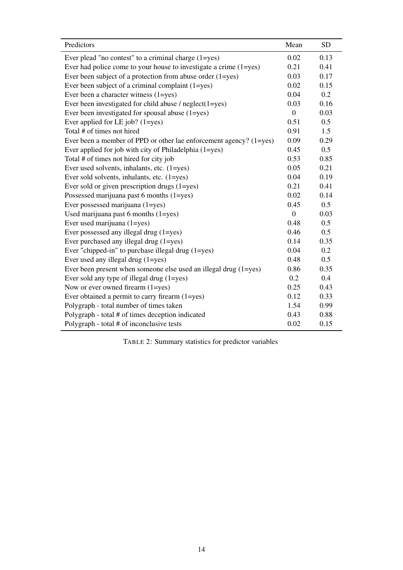| Predictors                                                             | Mean             | <b>SD</b> |
|------------------------------------------------------------------------|------------------|-----------|
| Ever plead "no contest" to a criminal charge $(1 = yes)$               | 0.02             | 0.13      |
| Ever had police come to your house to investigate a crime $(1 = yes)$  | 0.21             | 0.41      |
| Ever been subject of a protection from abuse order $(1 = yes)$         | 0.03             | 0.17      |
| Ever been subject of a criminal complaint $(1 = yes)$                  | 0.02             | 0.15      |
| Ever been a character witness (1=yes)                                  | 0.04             | 0.2       |
| Ever been investigated for child abuse $/$ neglect $(1 = yes)$         | 0.03             | 0.16      |
| Ever been investigated for spousal abuse (1=yes)                       | $\boldsymbol{0}$ | 0.03      |
| Ever applied for LE job? $(1 = yes)$                                   | 0.51             | 0.5       |
| Total # of times not hired                                             | 0.91             | 1.5       |
| Ever been a member of PPD or other lae enforcement agency? $(1 = yes)$ | 0.09             | 0.29      |
| Ever applied for job with city of Philadelphia (1=yes)                 | 0.45             | 0.5       |
| Total # of times not hired for city job                                | 0.53             | 0.85      |
| Ever used solvents, inhalants, etc. (1=yes)                            | 0.05             | 0.21      |
| Ever sold solvents, inhalants, etc. (1=yes)                            | 0.04             | 0.19      |
| Ever sold or given prescription drugs $(1 = yes)$                      | 0.21             | 0.41      |
| Possessed marijuana past 6 months (1=yes)                              | 0.02             | 0.14      |
| Ever possessed marijuana (1=yes)                                       | 0.45             | 0.5       |
| Used marijuana past 6 months $(1 = yes)$                               | $\overline{0}$   | 0.03      |
| Ever used marijuana (1=yes)                                            | 0.48             | 0.5       |
| Ever possessed any illegal drug (1=yes)                                | 0.46             | 0.5       |
| Ever purchased any illegal drug (1=yes)                                | 0.14             | 0.35      |
| Ever "chipped-in" to purchase illegal drug $(1 = yes)$                 | 0.04             | 0.2       |
| Ever used any illegal drug (1=yes)                                     | 0.48             | 0.5       |
| Ever been present when someone else used an illegal drug $(1 = yes)$   | 0.86             | 0.35      |
| Ever sold any type of illegal drug $(1 = yes)$                         | 0.2              | 0.4       |
| Now or ever owned firearm $(1 = yes)$                                  | 0.25             | 0.43      |
| Ever obtained a permit to carry firearm (1=yes)                        | 0.12             | 0.33      |
| Polygraph - total number of times taken                                | 1.54             | 0.99      |
| Polygraph - total # of times deception indicated                       | 0.43             | 0.88      |
| Polygraph - total # of inconclusive tests                              | 0.02             | 0.15      |

TABLE 2: Summary statistics for predictor variables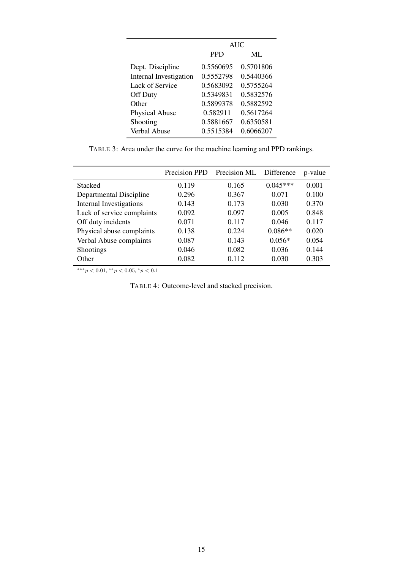<span id="page-15-1"></span>

|                               | <b>AUC</b> |           |  |
|-------------------------------|------------|-----------|--|
|                               | <b>PPD</b> | $MI$ .    |  |
| Dept. Discipline              | 0.5560695  | 0.5701806 |  |
| <b>Internal Investigation</b> | 0.5552798  | 0.5440366 |  |
| Lack of Service               | 0.5683092  | 0.5755264 |  |
| Off Duty                      | 0.5349831  | 0.5832576 |  |
| Other                         | 0.5899378  | 0.5882592 |  |
| <b>Physical Abuse</b>         | 0.582911   | 0.5617264 |  |
| Shooting                      | 0.5881667  | 0.6350581 |  |
| Verbal Abuse                  | 0.5515384  | 0.6066207 |  |

TABLE 3: Area under the curve for the machine learning and PPD rankings.

<span id="page-15-0"></span>

|                                | Precision PPD | Precision ML Difference |            | p-value |
|--------------------------------|---------------|-------------------------|------------|---------|
| <b>Stacked</b>                 | 0.119         | 0.165                   | $0.045***$ | 0.001   |
| Departmental Discipline        | 0.296         | 0.367                   | 0.071      | 0.100   |
| <b>Internal Investigations</b> | 0.143         | 0.173                   | 0.030      | 0.370   |
| Lack of service complaints     | 0.092         | 0.097                   | 0.005      | 0.848   |
| Off duty incidents             | 0.071         | 0.117                   | 0.046      | 0.117   |
| Physical abuse complaints      | 0.138         | 0.224                   | $0.086**$  | 0.020   |
| Verbal Abuse complaints        | 0.087         | 0.143                   | $0.056*$   | 0.054   |
| <b>Shootings</b>               | 0.046         | 0.082                   | 0.036      | 0.144   |
| Other                          | 0.082         | 0.112                   | 0.030      | 0.303   |

\*\*\* $p < 0.01$ , \*\* $p < 0.05$ , \* $p < 0.1$ 

TABLE 4: Outcome-level and stacked precision.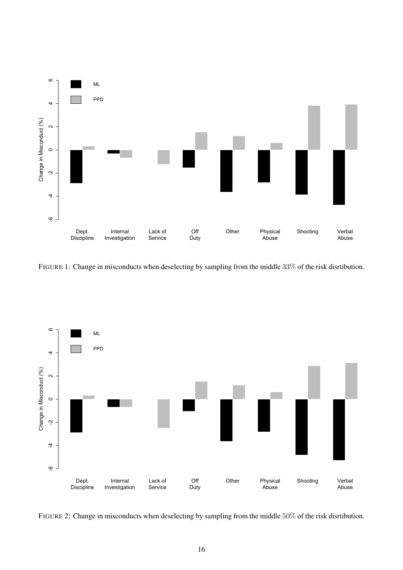<span id="page-16-0"></span>

FIGURE 1: Change in misconducts when deselecting by sampling from the middle 33% of the risk disrtibution.

<span id="page-16-1"></span>

FIGURE 2: Change in misconducts when deselecting by sampling from the middle 50% of the risk disrtibution.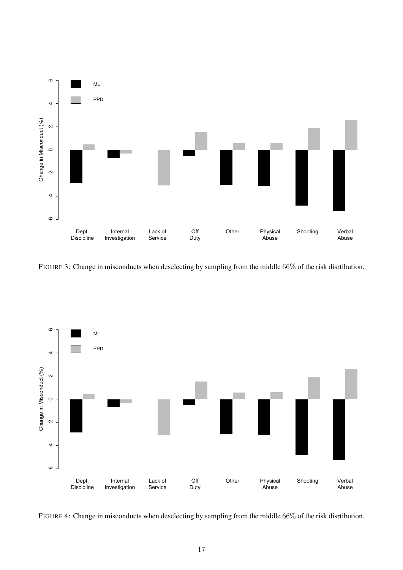

FIGURE 3: Change in misconducts when deselecting by sampling from the middle 66% of the risk disrtibution.

<span id="page-17-0"></span>

FIGURE 4: Change in misconducts when deselecting by sampling from the middle 66% of the risk disrtibution.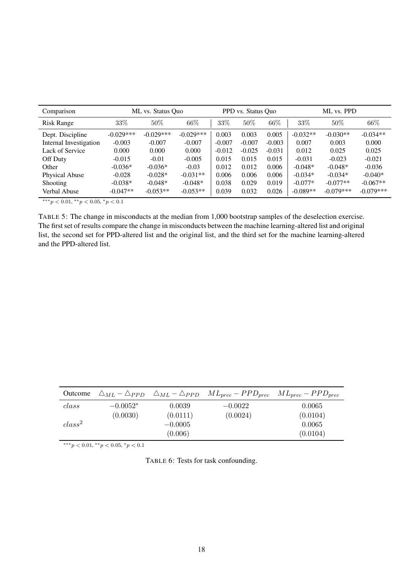<span id="page-18-0"></span>

| Comparison             |             | ML vs. Status Ouo |             |          | PPD vs. Status Quo |          |            | ML vs. PPD  |             |
|------------------------|-------------|-------------------|-------------|----------|--------------------|----------|------------|-------------|-------------|
| <b>Risk Range</b>      | 33%         | $50\%$            | 66%         | 33%      | 50%                | 66%      | 33\%       | 50%         | 66%         |
| Dept. Discipline       | $-0.029***$ | $-0.029***$       | $-0.029***$ | 0.003    | 0.003              | 0.005    | $-0.032**$ | $-0.030**$  | $-0.034**$  |
| Internal Investigation | $-0.003$    | $-0.007$          | $-0.007$    | $-0.007$ | $-0.007$           | $-0.003$ | 0.007      | 0.003       | 0.000       |
| Lack of Service        | 0.000       | 0.000             | 0.000       | $-0.012$ | $-0.025$           | $-0.031$ | 0.012      | 0.025       | 0.025       |
| Off Duty               | $-0.015$    | $-0.01$           | $-0.005$    | 0.015    | 0.015              | 0.015    | $-0.031$   | $-0.023$    | $-0.021$    |
| Other                  | $-0.036*$   | $-0.036*$         | $-0.03$     | 0.012    | 0.012              | 0.006    | $-0.048*$  | $-0.048*$   | $-0.036$    |
| Physical Abuse         | $-0.028$    | $-0.028*$         | $-0.031**$  | 0.006    | 0.006              | 0.006    | $-0.034*$  | $-0.034*$   | $-0.040*$   |
| <b>Shooting</b>        | $-0.038*$   | $-0.048*$         | $-0.048*$   | 0.038    | 0.029              | 0.019    | $-0.077*$  | $-0.077**$  | $-0.067**$  |
| Verbal Abuse           | $-0.047**$  | $-0.053**$        | $-0.053**$  | 0.039    | 0.032              | 0.026    | $-0.089**$ | $-0.079***$ | $-0.079***$ |

 $***p<0.01, **p<0.05, *p<0.1$ 

TABLE 5: The change in misconducts at the median from 1,000 bootstrap samples of the deselection exercise. The first set of results compare the change in misconducts between the machine learning-altered list and original list, the second set for PPD-altered list and the original list, and the third set for the machine learning-altered and the PPD-altered list.

<span id="page-18-1"></span>

|                    |            |                      | <b>Outcome</b> $\triangle_{ML} - \triangle_{PPD}$ $\triangle_{ML} - \triangle_{PPD}$ $ML_{prec} - PPD_{prec}$ $ML_{prec} - PPD_{prec}$ |                    |
|--------------------|------------|----------------------|----------------------------------------------------------------------------------------------------------------------------------------|--------------------|
| class              | $-0.0052*$ | 0.0039               | $-0.0022$                                                                                                                              | 0.0065             |
|                    | (0.0030)   | (0.0111)             | (0.0024)                                                                                                                               | (0.0104)           |
| class <sup>2</sup> |            | $-0.0005$<br>(0.006) |                                                                                                                                        | 0.0065<br>(0.0104) |

\*\*\* $p < 0.01$ , \*\* $p < 0.05$ , \* $p < 0.1$ 

TABLE 6: Tests for task confounding.